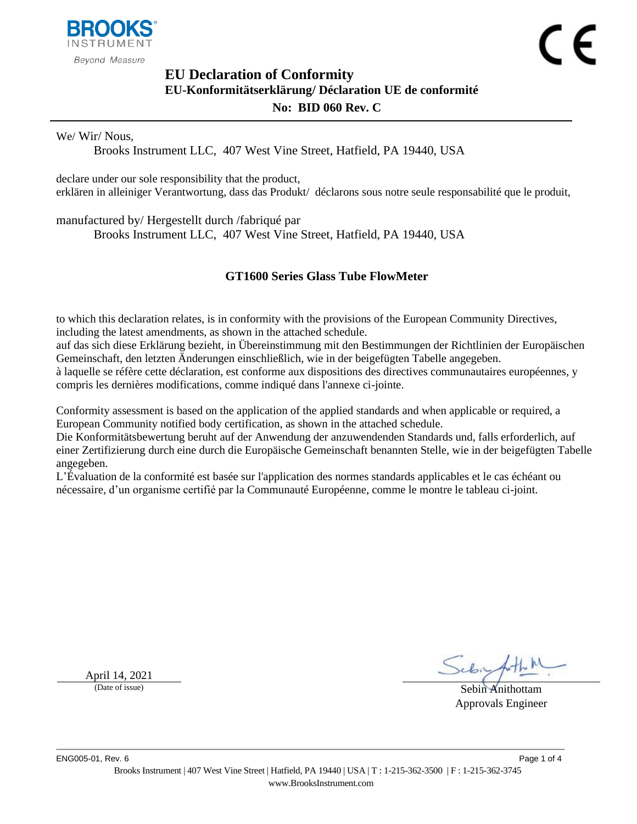

# <span id="page-0-1"></span><span id="page-0-0"></span>**EU Declaration of Conformity EU-Konformitätserklärung/ Déclaration UE de conformité No: BID 060 Rev. C**

We/ Wir/ Nous,

Brooks Instrument LLC, 407 West Vine Street, Hatfield, PA 19440, USA

declare under our sole responsibility that the product, erklären in alleiniger Verantwortung, dass das Produkt/ déclarons sous notre seule responsabilité que le produit,

manufactured by/ Hergestellt durch /fabriqué par

Brooks Instrument LLC, 407 West Vine Street, Hatfield, PA 19440, USA

### <span id="page-0-2"></span>**GT1600 Series Glass Tube FlowMeter**

to which this declaration relates, is in conformity with the provisions of the European Community Directives, including the latest amendments, as shown in the attached schedule.

auf das sich diese Erklärung bezieht, in Übereinstimmung mit den Bestimmungen der Richtlinien der Europäischen Gemeinschaft, den letzten Änderungen einschließlich, wie in der beigefügten Tabelle angegeben.

à laquelle se réfère cette déclaration, est conforme aux dispositions des directives communautaires européennes, y compris les dernières modifications, comme indiqué dans l'annexe ci-jointe.

Conformity assessment is based on the application of the applied standards and when applicable or required, a European Community notified body certification, as shown in the attached schedule.

Die Konformitätsbewertung beruht auf der Anwendung der anzuwendenden Standards und, falls erforderlich, auf einer Zertifizierung durch eine durch die Europäische Gemeinschaft benannten Stelle, wie in der beigefügten Tabelle angegeben.

L'Évaluation de la conformité est basée sur l'application des normes standards applicables et le cas échéant ou nécessaire, d'un organisme certifié par la Communauté Européenne, comme le montre le tableau ci-joint.

April 14,  $2021$ <br>(Date of issue)

Sebin Anithottam Approvals Engineer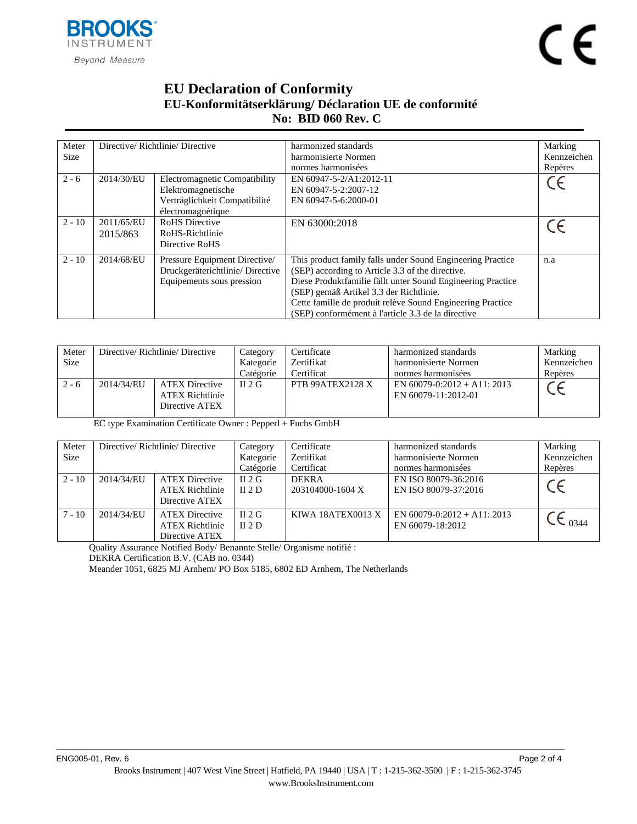

# **EU Declaration of Conformity EU-Konformitätserklärung/ Déclaration UE de conformité No: BID [060](#page-0-0) Rev. [C](#page-0-1)**

| Meter<br><b>Size</b> |                                                                                                                         | Directive/Richtlinie/Directive                                                                | harmonized standards<br>harmonisierte Normen<br>normes harmonisées                                                                                                                                                                                                                                                                           | Marking<br>Kennzeichen<br>Repères |
|----------------------|-------------------------------------------------------------------------------------------------------------------------|-----------------------------------------------------------------------------------------------|----------------------------------------------------------------------------------------------------------------------------------------------------------------------------------------------------------------------------------------------------------------------------------------------------------------------------------------------|-----------------------------------|
| $2 - 6$              | 2014/30/EU<br>Electromagnetic Compatibility<br>Elektromagnetische<br>Verträglichkeit Compatibilité<br>électromagnétique |                                                                                               | EN 60947-5-2/A1:2012-11<br>EN 60947-5-2:2007-12<br>EN 60947-5-6:2000-01                                                                                                                                                                                                                                                                      |                                   |
| $2 - 10$             | 2011/65/EU<br>2015/863                                                                                                  | <b>RoHS</b> Directive<br>RoHS-Richtlinie<br>Directive RoHS                                    | EN 63000:2018                                                                                                                                                                                                                                                                                                                                |                                   |
| $2 - 10$             | 2014/68/EU                                                                                                              | Pressure Equipment Directive/<br>Druckgeräterichtlinie/Directive<br>Equipements sous pression | This product family falls under Sound Engineering Practice<br>(SEP) according to Article 3.3 of the directive.<br>Diese Produktfamilie fällt unter Sound Engineering Practice<br>(SEP) gemäß Artikel 3.3 der Richtlinie.<br>Cette famille de produit relève Sound Engineering Practice<br>(SEP) conformément à l'article 3.3 de la directive | n.a                               |

| Meter<br><b>Size</b> | Directive/Richtlinie/Directive |                                                                   | Category<br>Kategorie<br>Catégorie | Certificate<br>Zertifikat<br>Certificat | harmonized standards<br>harmonisierte Normen<br>normes harmonisées | Marking<br>Kennzeichen<br>Repères |
|----------------------|--------------------------------|-------------------------------------------------------------------|------------------------------------|-----------------------------------------|--------------------------------------------------------------------|-----------------------------------|
| $2 - 6$              | 2014/34/EU                     | <b>ATEX Directive</b><br><b>ATEX Richtlinie</b><br>Directive ATEX | $\Pi$ 2 G                          | PTB 99ATEX2128 X                        | EN $60079 - 0:2012 + A11$ : 2013<br>EN 60079-11:2012-01            |                                   |

EC type Examination Certificate Owner : Pepperl + Fuchs GmbH

| Meter<br>Size | Directive/Richtlinie/Directive |                                                                   | Category<br>Kategorie<br>Catégorie | Certificate<br>Zertifikat<br>Certificat | harmonized standards<br>harmonisierte Normen<br>normes harmonisées | Marking<br>Kennzeichen<br>Repères |
|---------------|--------------------------------|-------------------------------------------------------------------|------------------------------------|-----------------------------------------|--------------------------------------------------------------------|-----------------------------------|
| $2 - 10$      | 2014/34/EU                     | <b>ATEX Directive</b><br><b>ATEX Richtlinie</b><br>Directive ATEX | $II$ 2 G<br>II $2D$                | <b>DEKRA</b><br>203104000-1604 X        | EN ISO 80079-36:2016<br>EN ISO 80079-37:2016                       | $\epsilon$                        |
| $7 - 10$      | 2014/34/EU                     | <b>ATEX Directive</b><br><b>ATEX Richtlinie</b><br>Directive ATEX | $II$ 2 G<br>II $2D$                | KIWA 18ATEX0013 X                       | EN $60079 - 0:2012 + A11$ : 2013<br>EN 60079-18:2012               | 0344                              |

Quality Assurance Notified Body/ Benannte Stelle/ Organisme notifié :

DEKRA Certification B.V. (CAB no. 0344)

Meander 1051, 6825 MJ Arnhem/ PO Box 5185, 6802 ED Arnhem, The Netherlands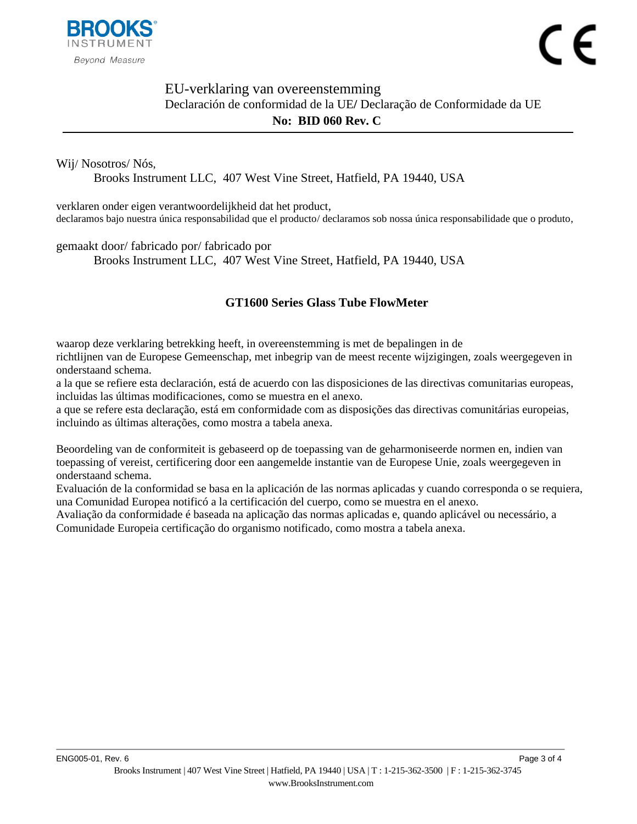

## EU-verklaring van overeenstemming Declaración de conformidad de la UE**/** Declaração de Conformidade da UE **No: BID [060](#page-0-0) Rev. [C](#page-0-1)**

#### Wij/ Nosotros/ Nós,

Brooks Instrument LLC, 407 West Vine Street, Hatfield, PA 19440, USA

verklaren onder eigen verantwoordelijkheid dat het product, declaramos bajo nuestra única responsabilidad que el producto/ declaramos sob nossa única responsabilidade que o produto,

#### gemaakt door/ fabricado por/ fabricado por

Brooks Instrument LLC, 407 West Vine Street, Hatfield, PA 19440, USA

### **[GT1600 Series Glass Tube FlowMeter](#page-0-2)**

waarop deze verklaring betrekking heeft, in overeenstemming is met de bepalingen in de richtlijnen van de Europese Gemeenschap, met inbegrip van de meest recente wijzigingen, zoals weergegeven in onderstaand schema.

a la que se refiere esta declaración, está de acuerdo con las disposiciones de las directivas comunitarias europeas, incluidas las últimas modificaciones, como se muestra en el anexo.

a que se refere esta declaração, está em conformidade com as disposições das directivas comunitárias europeias, incluindo as últimas alterações, como mostra a tabela anexa.

Beoordeling van de conformiteit is gebaseerd op de toepassing van de geharmoniseerde normen en, indien van toepassing of vereist, certificering door een aangemelde instantie van de Europese Unie, zoals weergegeven in onderstaand schema.

Evaluación de la conformidad se basa en la aplicación de las normas aplicadas y cuando corresponda o se requiera, una Comunidad Europea notificó a la certificación del cuerpo, como se muestra en el anexo.

Avaliação da conformidade é baseada na aplicação das normas aplicadas e, quando aplicável ou necessário, a Comunidade Europeia certificação do organismo notificado, como mostra a tabela anexa.